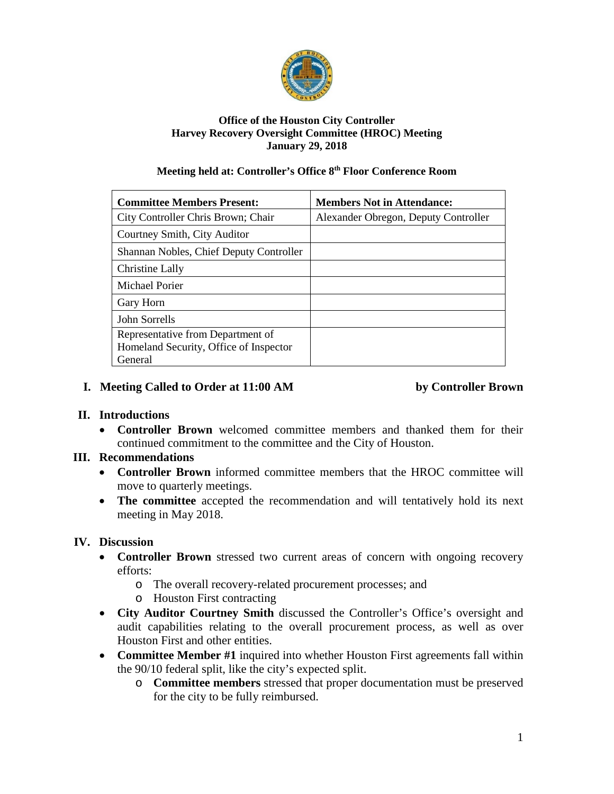

#### **Office of the Houston City Controller Harvey Recovery Oversight Committee (HROC) Meeting January 29, 2018**

#### **Meeting held at: Controller's Office 8th Floor Conference Room**

| <b>Committee Members Present:</b>                                                      | <b>Members Not in Attendance:</b>    |
|----------------------------------------------------------------------------------------|--------------------------------------|
| City Controller Chris Brown; Chair                                                     | Alexander Obregon, Deputy Controller |
| Courtney Smith, City Auditor                                                           |                                      |
| Shannan Nobles, Chief Deputy Controller                                                |                                      |
| Christine Lally                                                                        |                                      |
| Michael Porier                                                                         |                                      |
| Gary Horn                                                                              |                                      |
| John Sorrells                                                                          |                                      |
| Representative from Department of<br>Homeland Security, Office of Inspector<br>General |                                      |

# **I. Meeting Called to Order at 11:00 AM by Controller Brown**

# **II. Introductions**

• **Controller Brown** welcomed committee members and thanked them for their continued commitment to the committee and the City of Houston.

#### **III. Recommendations**

- **Controller Brown** informed committee members that the HROC committee will move to quarterly meetings.
- **The committee** accepted the recommendation and will tentatively hold its next meeting in May 2018.

# **IV. Discussion**

- **Controller Brown** stressed two current areas of concern with ongoing recovery efforts:
	- o The overall recovery-related procurement processes; and
	- o Houston First contracting
- **City Auditor Courtney Smith** discussed the Controller's Office's oversight and audit capabilities relating to the overall procurement process, as well as over Houston First and other entities.
- **Committee Member #1** inquired into whether Houston First agreements fall within the 90/10 federal split, like the city's expected split.
	- o **Committee members** stressed that proper documentation must be preserved for the city to be fully reimbursed.